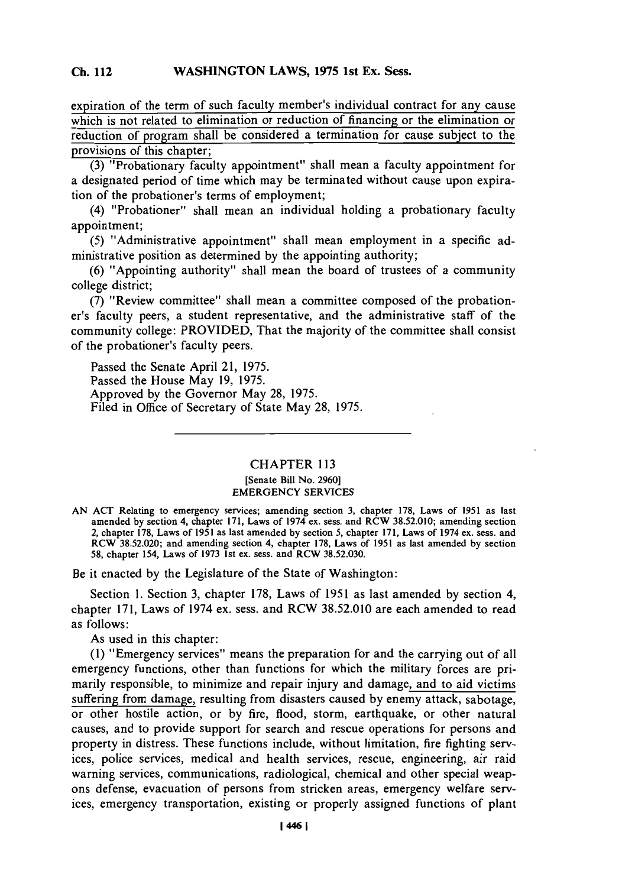### **Cli 112WASHINGTON LAWS, 1975 1st Ex. Sess. Ch.** 112

expiration of the term of such faculty member's individual contract for any cause which is not related to elimination or reduction of financing or the elimination or reduction of program shall be considered a termination for cause subject to the provisions of this chapter;

**(3)** "Probationary faculty appointment" shall mean a faculty appointment for a designated period of time which may be terminated without cause upon expiration of the probationer's terms of employment;

(4) "Probationer" shall mean an individual holding a probationary faculty appointment;

**(5)** "Administrative appointment" shall mean employment in a specific administrative position as determined **by** the appointing authority;

**(6)** "Appointing authority" shall mean the board of trustees of a community college district;

**(7)** "Review committee" shall mean a committee composed of the probationer's faculty peers, a student representative, and the administrative staff of the community college: PROVIDED, That the majority of the committee shall consist of the probationer's faculty peers.

Passed the Senate April 21, **1975.** Passed the House May **19, 1975.** Approved **by** the Governor May **28,** *1975.* Filed in Office of Secretary of State May **28, 1975.**

# CHAPTER **113** [Senate Bill No. **2960]** EMERGENCY **SERVICES**

Be it enacted **by** the Legislature of the State of Washington:

Section **1.** Section **3,** chapter **178,** Laws of **1951** as last amended **by** section 4, chapter **171,** Laws of 1974 ex. sess. and RCW **38.52.010** are each amended to read as follows:

As used in this chapter:

**(1)** "Emergency services" means the preparation for and the carrying out of all emergency functions, other than functions for which the military forces are primarily responsible, to minimize and repair injury and damage, and to aid victims suffering from damage, resulting from disasters caused **by** enemy attack, sabotage, or other hostile action, or **by** fire, flood, storm, earthquake, or other natural causes, and to provide support for search and rescue operations for persons and property in distress. These functions include, without limitation, fire fighting services, police services, medical and health services, rescue, engineering, air raid warning services, communications, radiological, chemical and other special weapons defense, evacuation of persons from stricken areas, emergency welfare services, emergency transportation, existing or properly assigned functions of plant

**AN ACT** Relating to emergency services; amending section **3,** chapter **178,** Laws of **1951** as last amended **by** section 4, chapter **171,** Laws of 1974 ex. sess. and RCW **38.52.010;** amending section 2, chapter **178,** Laws of **1951** as last amended **by** section **5,** chapter **171,** Laws of 1974 ex. ses, and RCW **38.52.020;** and amending section 4, chapter **178,** Laws of **1951** as last amended **by** section **58,** chapter 154, Laws of **1973** 1st ex. sess. and RCW **38.52.030.**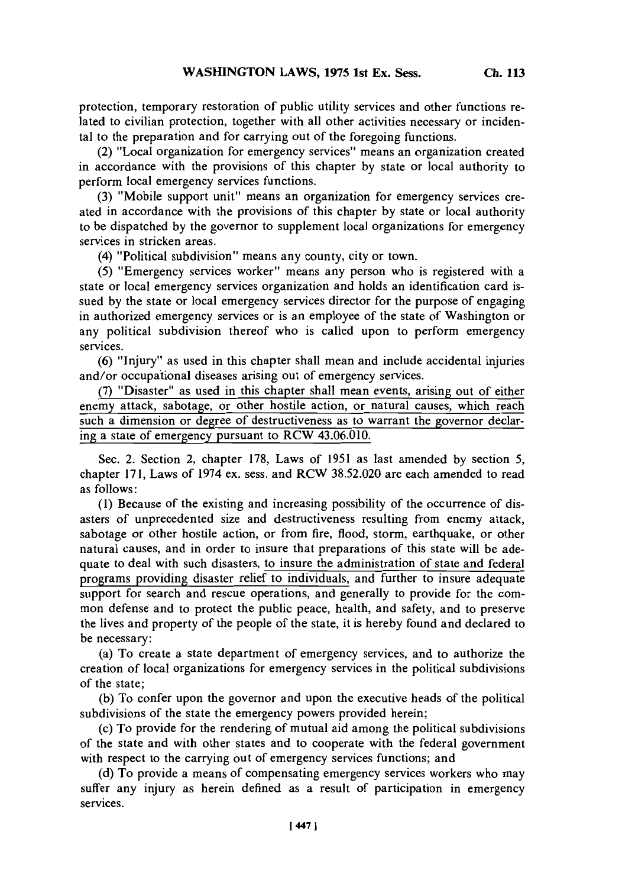protection, temporary restoration of public utility services and other functions related to civilian protection, together with all other activities necessary or incidental to the preparation and for carrying out of the foregoing functions.

(2) "Local organization for emergency services" means an organization created in accordance with the provisions of this chapter **by** state or local authority to perform local emergency services functions.

**(3)** "Mobile support unit" means an organization for emergency services created in accordance with the provisions of this chapter **by** state or local authority to be dispatched **by** the governor to supplement local organizations for emergency services in stricken areas.

(4) "Political subdivision" means any county, city or town.

**(5)** "Emergency services worker" means any person who is registered with a state or local emergency services organization and holds an identification card issued **by** the state or local emergency services director for the purpose of engaging in authorized emergency services or is an employee of the state of Washington or any political subdivision thereof who is called upon to perform emergency services.

**(6)** "Injury" as used in this chapter shall mean and include accidental injuries and/or occupational diseases arising out of emergency services.

**(7)** "Disaster" as used in this chapter shall mean events, arising out of either enemy attack, sabotage, or other hostile action, or natural causes, which reach such a dimension or degree of destructiveness as to warrant the governor declaring a state of emergency pursuant to RCW 43.06.010.

Sec. 2. Section 2, chapter **178,** Laws of **1951** as last amended **by** section **5,** chapter **171,** Laws of 1974 ex. sess. and RCW **38.52.020** are each amended to read as follows:

**(1)** Because of the existing and increasing possibility of the occurrence of disasters of unprecedented size and destructiveness resulting from enemy attack, sabotage or other hostile action, or from fire, flood, storm, earthquake, or other natural causes, and in order to insure that preparations of this state will be adequate to deal with such disasters, to insure the administration of state and federal programs providing disaster relief to individuals, and further to insure adequate support for search and rescue operations, and generally to provide for the common defense and to protect the public peace, health, and safety, and to preserve the lives and property of the people of the state, it is hereby found and declared to be necessary:

(a) To create a state department of emergency services, and to authorize the creation of local organizations for emergency services in the political subdivisions of the state;

**(b)** To confer upon the governor and upon the executive heads of the political subdivisions of the state the emergency powers provided herein;

(c) To provide for the rendering of mutual aid among the political subdivisions of the state and with other states and to cooperate with the federal government with respect to the carrying out of emergency services functions; and

**(d)** To provide a means of compensating emergency services workers who may suffer any injury as herein defined as a result of participation in emergency services.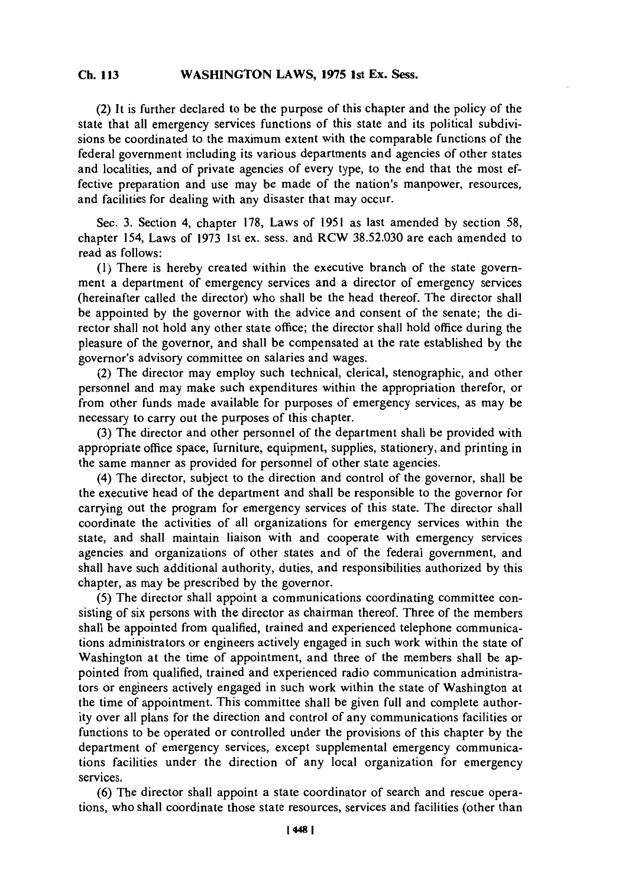#### **Ch 113WASHINGTON LAWS, 1975 1st Ex. Sess. Ch. 113**

**(2) It** is further declared to be the purpose of this chapter and the policy of the state that all emergency services functions of this state and its political subdivisions be coordinated to the maximum extent with the comparable functions of the federal government including its various departments and agencies of other states and localities, and of private agencies of every type, to the end that the most effective preparation and use may be made of the nation's manpower, resources, and facilities for dealing with any disaster that may occur.

Sec. **3.** Section 4, chapter **178,** Laws of **1951** as last amended **by** section **58,** chapter 154, Laws of **1973** 1st ex. sess. and RCW **38.52.030** are each amended to read as follows:

**(1)** There is hereby created within the executive branch of the state government a department of emergency services and a director of emergency services (hereinafter called the director) who shall be the head thereof. The director shall be appointed **by** the governor with the advice and consent of the senate; the director shall not hold any other state office; the director shall hold office during the pleasure of the governor, and shall be compensated at the rate established **by** the governor's advisory committee on salaries and wages.

(2) The director may employ such technical, clerical, stenographic, and other personnel and may make such expenditures within the appropriation therefor, or from other funds made available for purposes of emergency services, as may be necessary to carry out the purposes of this chapter.

**(3)** The director and other personnel of the department shall be provided with appropriate office space, furniture, equipment, supplies, stationery, and printing in the same manner as provided for personnel of other state agencies.

(4) The director, subject to the direction and control of the governor, shall be the executive head of the department and shall be responsible to the governor for carrying out the program for emergency services of this state. The director shall coordinate the activities of all organizations for emergency services within the state, and shall maintain liaison with and cooperate with emergency services agencies and organizations of other states and of the federal government, and shall have such additional authority, duties, and responsibilities authorized **by** this chapter, as may be prescribed **by** the governor.

**(5)** The director shall appoint a communications coordinating committee consisting of six persons with the director as chairman thereof. Three of the members shall be appointed from qualified, trained and experienced telephone communications administrators or engineers actively engaged in such work within the state of Washington at the time of appointment, and three of the members shall be appointed from qualified, trained and experienced radio communication administrators or engineers actively engaged in such work within the state of Washington at the time of appointment. This committee shall be given full and complete authority over all plans for the direction and control of any communications facilities or functions to be operated or controlled under the provisions of this chapter **by** the department of emergency services, except supplemental emergency communications facilities under the direction of any local organization for emergency services.

**(6)** The director shall appoint a state coordinator of search and rescue operations, who shall coordinate those state resources, services and facilities (other than